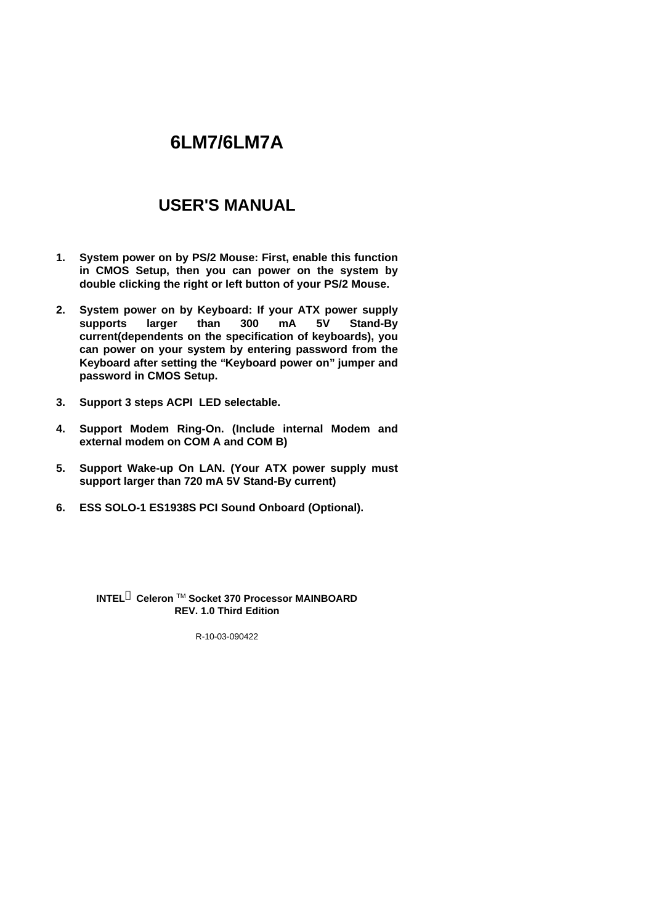# **6LM7/6LM7A**

## **USER'S MANUAL**

- **1. System power on by PS/2 Mouse: First, enable this function in CMOS Setup, then you can power on the system by double clicking the right or left button of your PS/2 Mouse.**
- **2. System power on by Keyboard: If your ATX power supply supports larger than 300 mA 5V Stand-By current(dependents on the specification of keyboards), you can power on your system by entering password from the Keyboard after setting the "Keyboard power on" jumper and password in CMOS Setup.**
- **3. Support 3 steps ACPI LED selectable.**
- **4. Support Modem Ring-On. (Include internal Modem and external modem on COM A and COM B)**
- **5. Support Wake-up On LAN. (Your ATX power supply must support larger than 720 mA 5V Stand-By current)**
- **6. ESS SOLO-1 ES1938S PCI Sound Onboard (Optional).**

**INTELâ Celeron** TM **Socket 370 Processor MAINBOARD REV. 1.0 Third Edition**

R-10-03-090422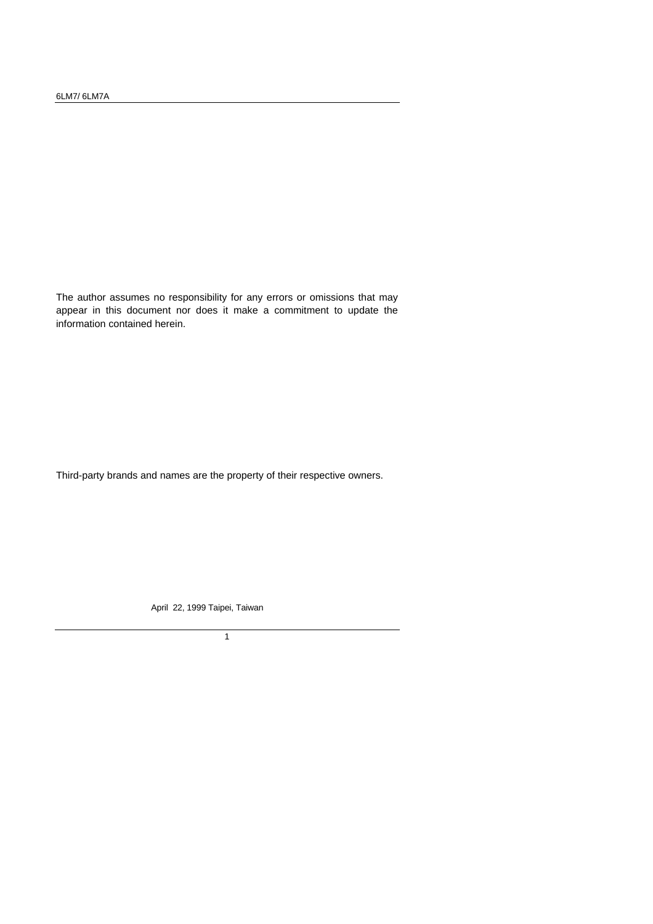The author assumes no responsibility for any errors or omissions that may appear in this document nor does it make a commitment to update the information contained herein.

Third-party brands and names are the property of their respective owners.

April 22, 1999 Taipei, Taiwan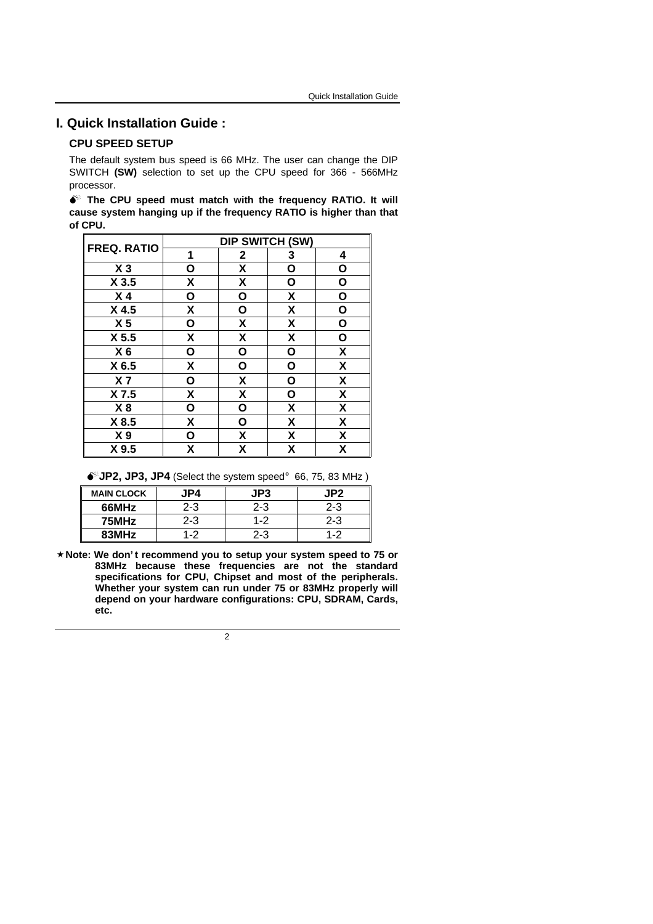#### **I. Quick Installation Guide :**

#### **CPU SPEED SETUP**

The default system bus speed is 66 MHz. The user can change the DIP SWITCH **(SW)** selection to set up the CPU speed for 366 - 566MHz processor.

|         |  |  |  | The CPU speed must match with the frequency RATIO. It will         |  |
|---------|--|--|--|--------------------------------------------------------------------|--|
|         |  |  |  | cause system hanging up if the frequency RATIO is higher than that |  |
| of CPU. |  |  |  |                                                                    |  |

| <b>FREQ. RATIO</b> | <b>DIP SWITCH (SW)</b>    |                    |                    |                           |  |  |
|--------------------|---------------------------|--------------------|--------------------|---------------------------|--|--|
|                    | 1                         | 2                  | 3                  | 4                         |  |  |
| $X_3$              | O                         | X                  | О                  | О                         |  |  |
| X <sub>3.5</sub>   | X                         | $\pmb{\mathsf{X}}$ | О                  | $\mathbf{o}$              |  |  |
| X <sub>4</sub>     | О                         | O                  | χ                  | O                         |  |  |
| $X$ 4.5            | X                         | O                  | X                  | O                         |  |  |
| X <sub>5</sub>     | O                         | $\pmb{\mathsf{X}}$ | χ                  | O                         |  |  |
| X <sub>5.5</sub>   | $\boldsymbol{\mathsf{X}}$ | $\pmb{\mathsf{X}}$ | $\pmb{\mathsf{X}}$ | O                         |  |  |
| X <sub>6</sub>     | О                         | О                  | O                  | χ                         |  |  |
| X 6.5              | X                         | $\mathbf{o}$       | O                  | $\pmb{\mathsf{X}}$        |  |  |
| X <sub>7</sub>     | О                         | $\pmb{\mathsf{X}}$ | O                  | χ                         |  |  |
| X 7.5              | X                         | χ                  | O                  | χ                         |  |  |
| X8                 | О                         | О                  | $\pmb{\mathsf{X}}$ | $\pmb{\mathsf{X}}$        |  |  |
| X 8.5              | X                         | О                  | X                  | $\boldsymbol{\mathsf{X}}$ |  |  |
| X <sub>9</sub>     | О                         | X                  | X                  | X                         |  |  |
| X 9.5              | χ                         | Χ                  | X                  | χ                         |  |  |

 $\bullet$  JP2, JP3, JP4 (Select the system speed; 66, 75, 83 MHz)

| <b>MAIN CLOCK</b> | JP4     | JP3     | JP2.    |
|-------------------|---------|---------|---------|
| 66MHz             | $2 - 3$ | $2 - 3$ | $2 - 3$ |
| 75MHz             | $2 - 3$ | $1 - 2$ | $2 - 3$ |
| 83MHz             | 1.2     | 2-3     | $1 - 2$ |

**´Note: We don' t recommend you to setup your system speed to 75 or 83MHz because these frequencies are not the standard specifications for CPU, Chipset and most of the peripherals. Whether your system can run under 75 or 83MHz properly will depend on your hardware configurations: CPU, SDRAM, Cards, etc.**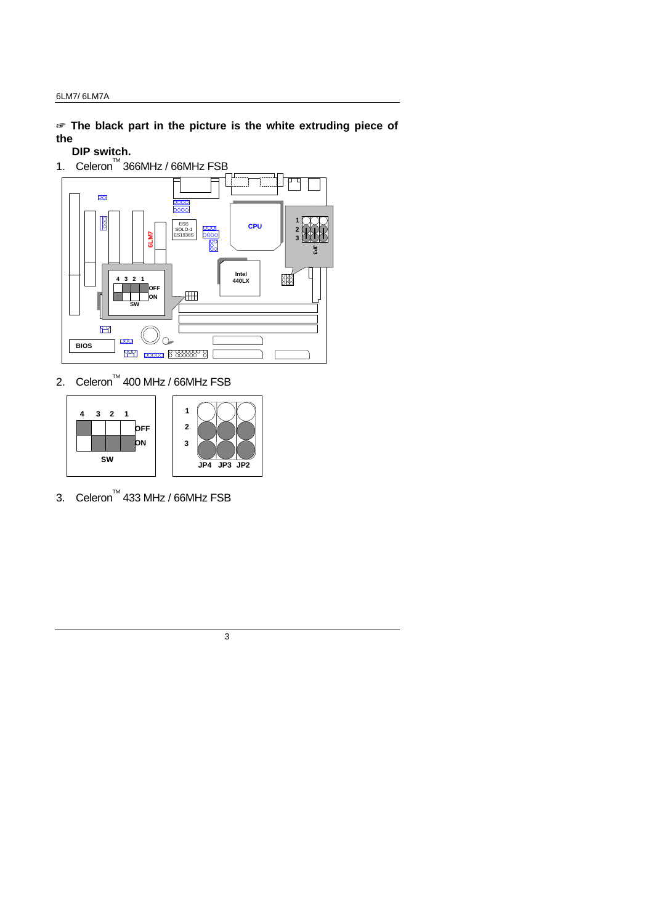$\mathcal{F}$  The black part in the picture is the white extruding piece of **the**

#### **DIP switch.**



2. Celeron<sup>TM</sup> 400 MHz / 66MHz FSB



3. Celeron<sup>TM</sup> 433 MHz / 66MHz FSB

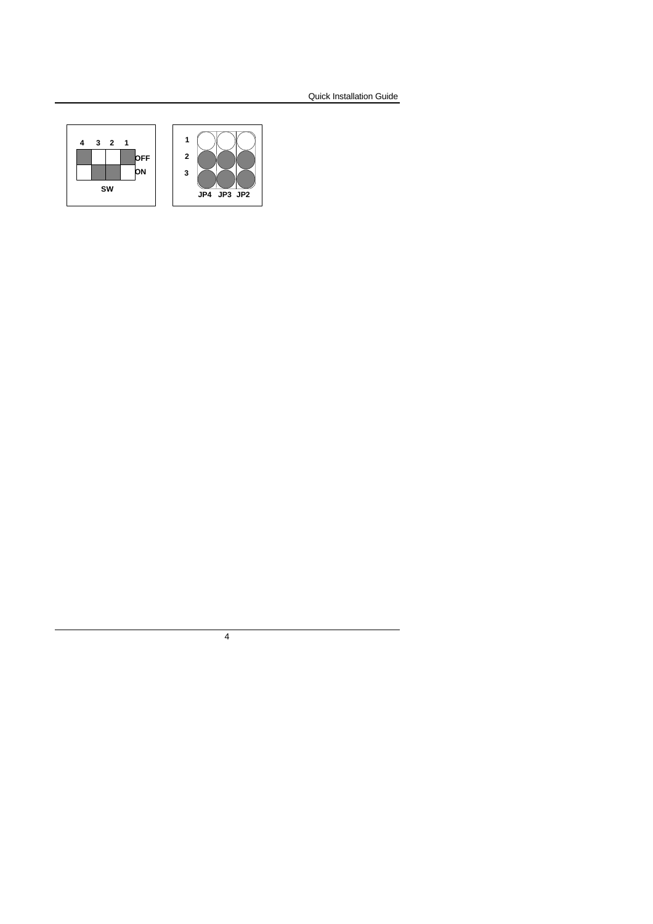

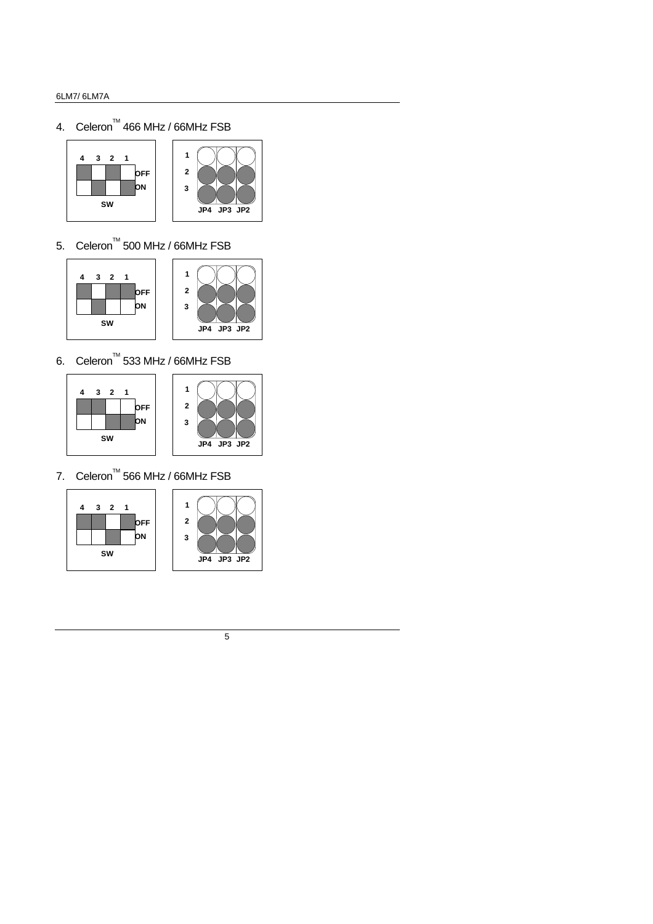4. Celeron<sup>™</sup> 466 MHz / 66MHz FSB





5. Celeron<sup>TM</sup> 500 MHz / 66MHz FSB





6. Celeron<sup>™</sup> 533 MHz / 66MHz FSB





7. Celeron<sup>TM</sup> 566 MHz / 66MHz FSB





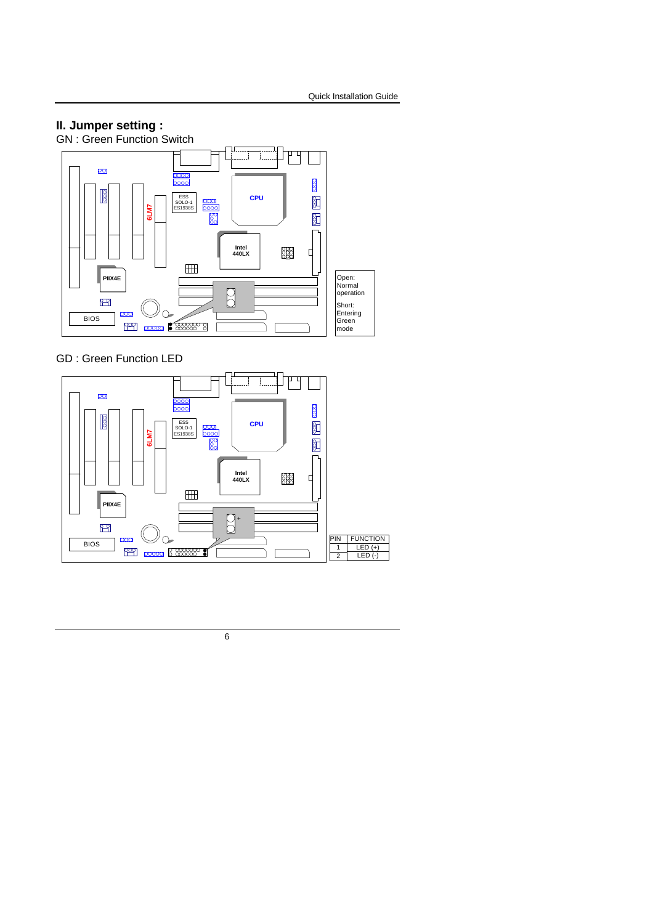

GD : Green Function LED

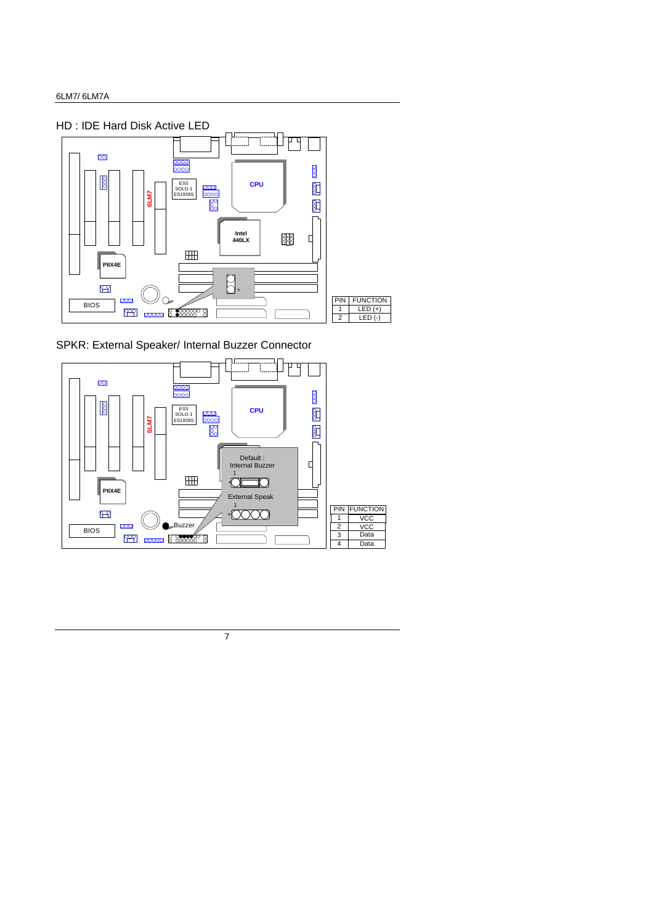

SPKR: External Speaker/ Internal Buzzer Connector

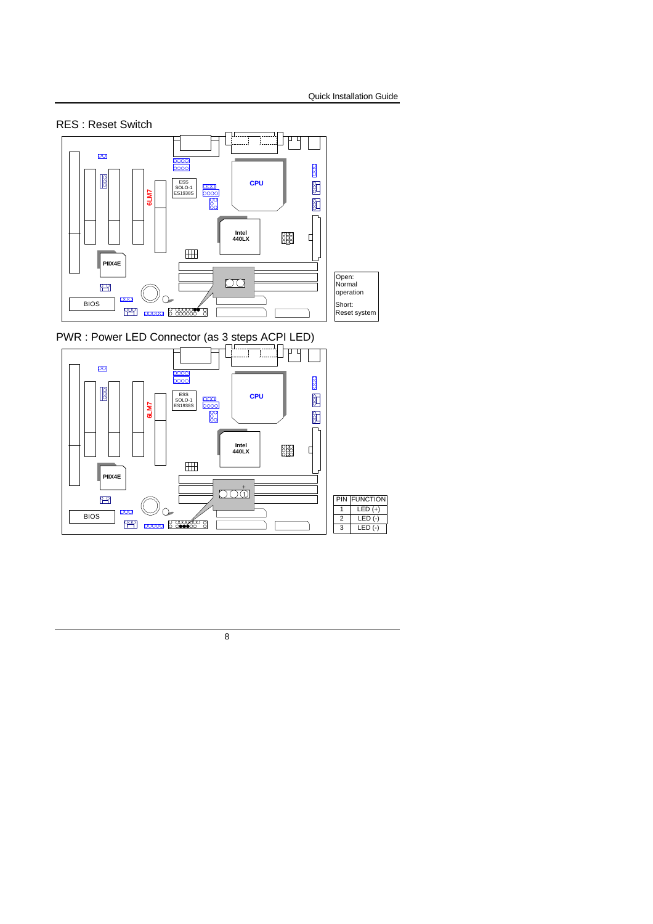

PWR : Power LED Connector (as 3 steps ACPI LED)

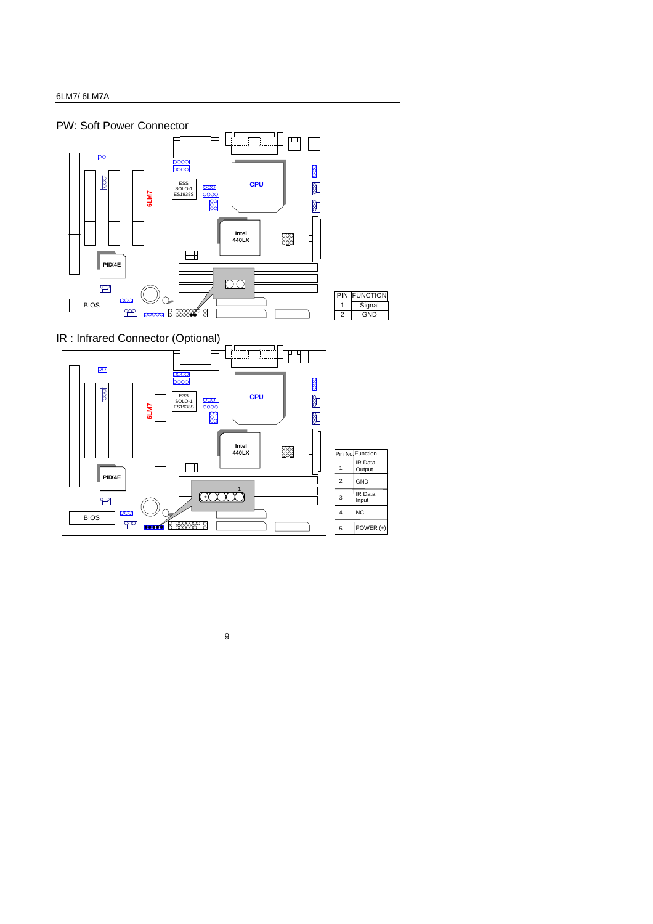**BIOS** 

 $\mathbb{C}$  $\overline{\text{000}}$ 

**PER 1999 1999** 



9

 $\supset$  $\sqrt{ }$  4 5

 $\overline{NC}$ POWER (+)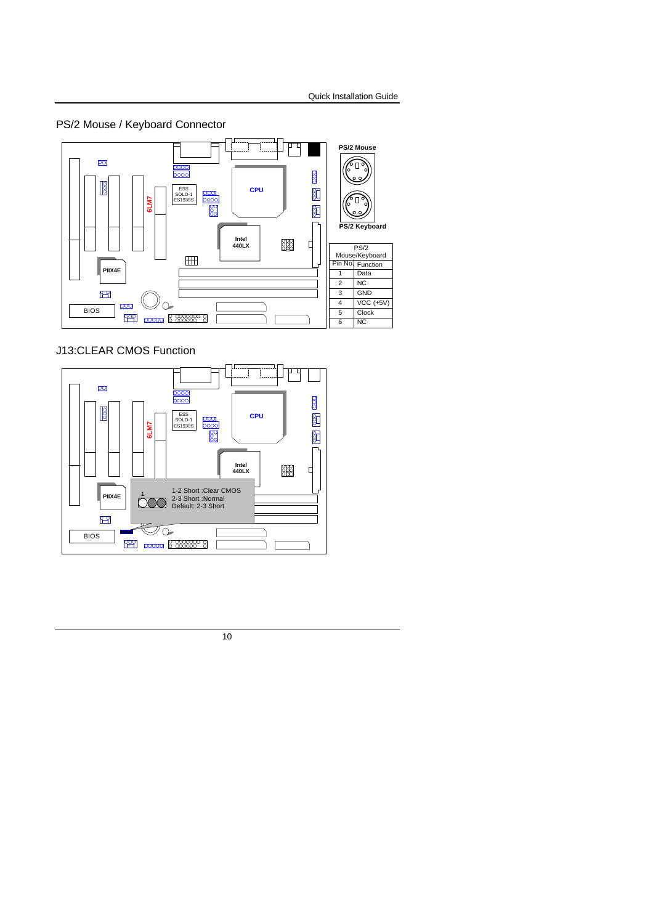PS/2 Mouse / Keyboard Connector



J13:CLEAR CMOS Function

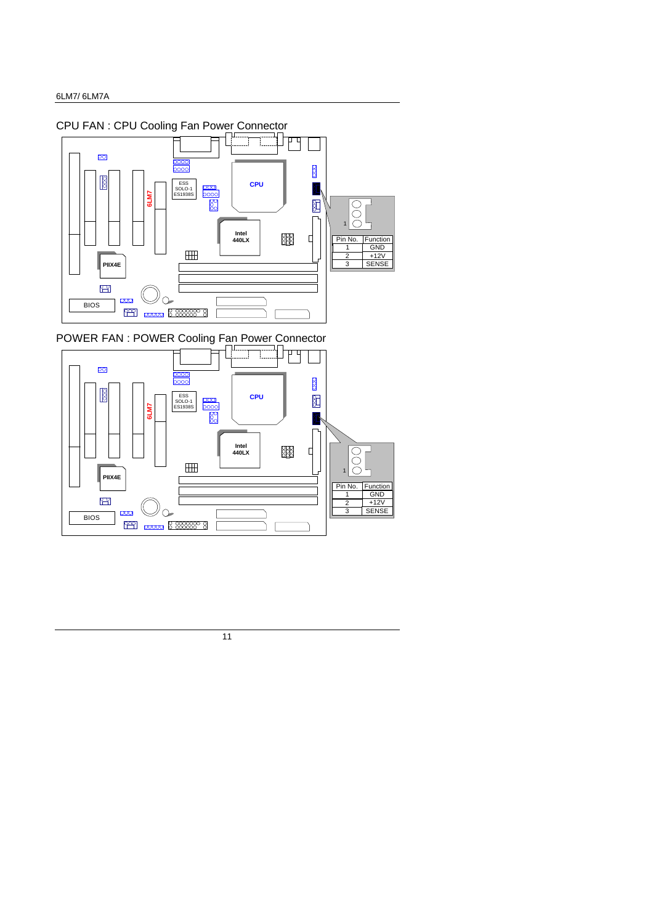

POWER FAN : POWER Cooling Fan Power Connector

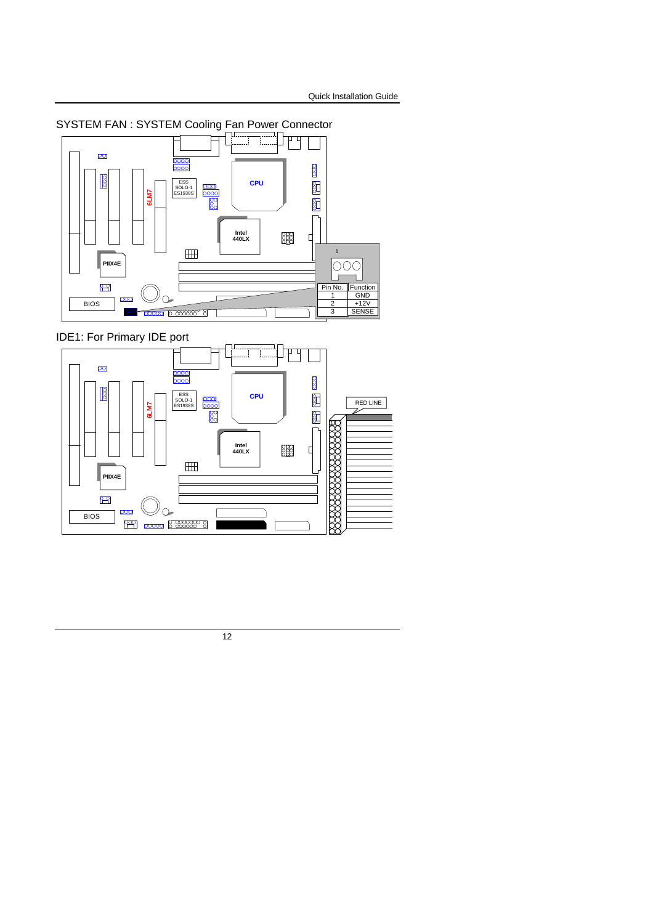

SYSTEM FAN : SYSTEM Cooling Fan Power Connector

IDE1: For Primary IDE port

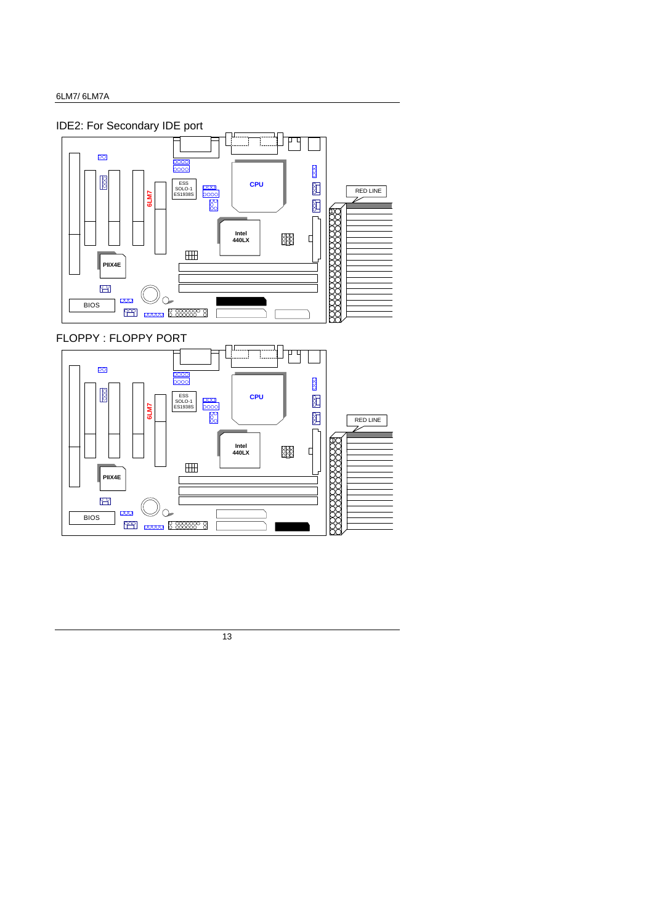**BIOS** 

**PAPI poord** 8 888888 8

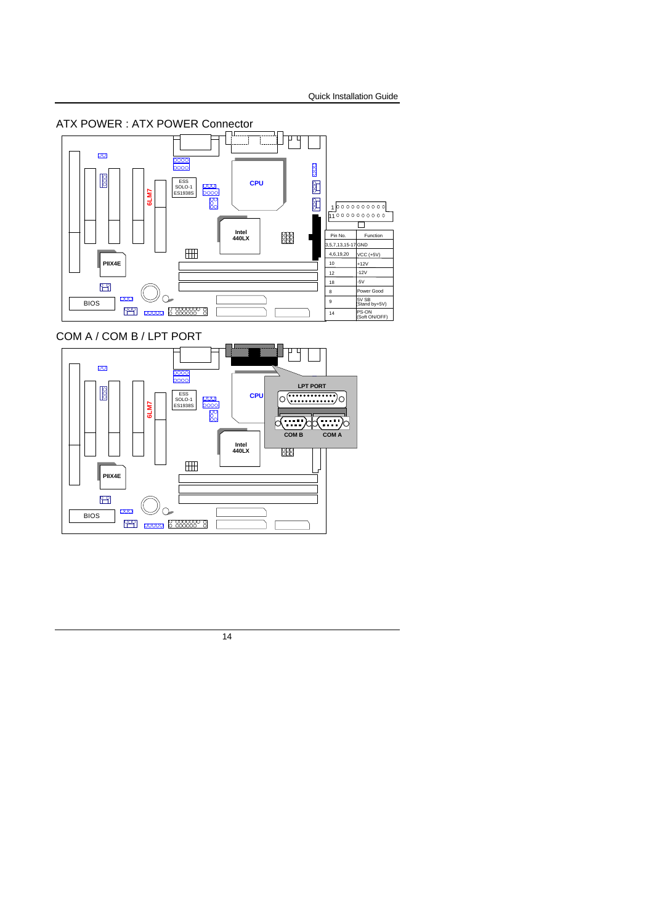

### COM A / COM B / LPT PORT

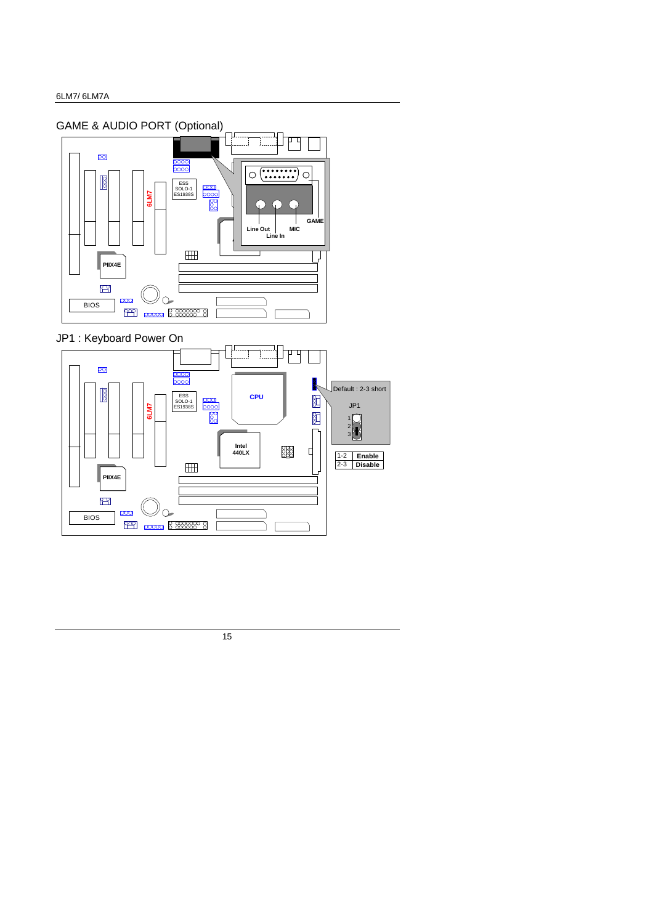

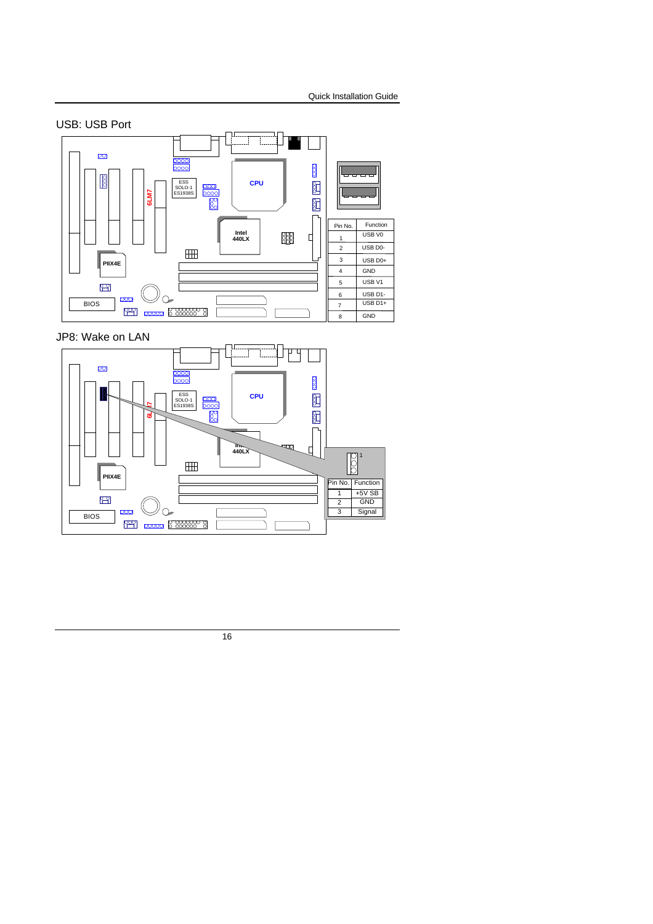

JP8: Wake on LAN

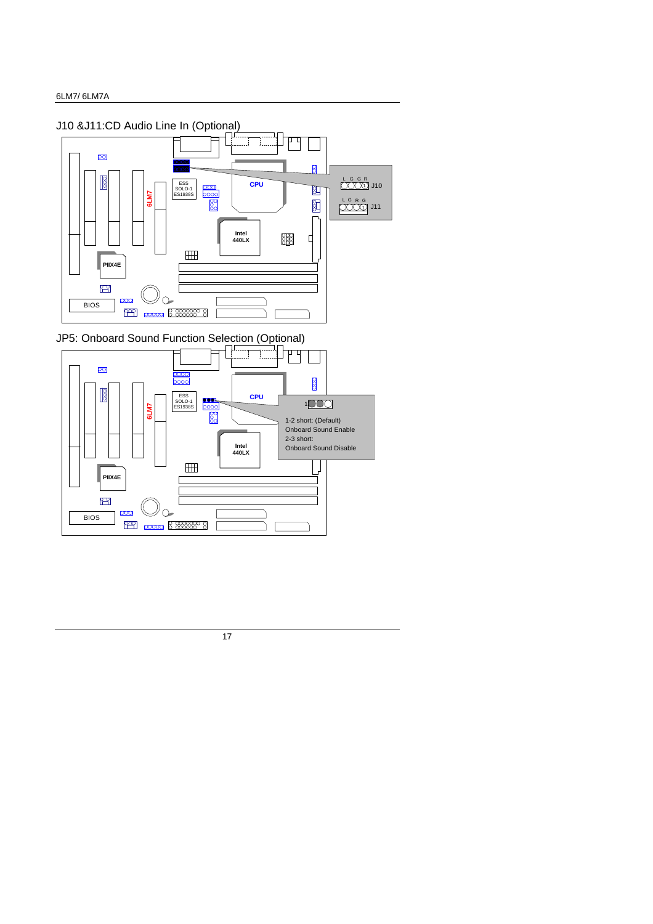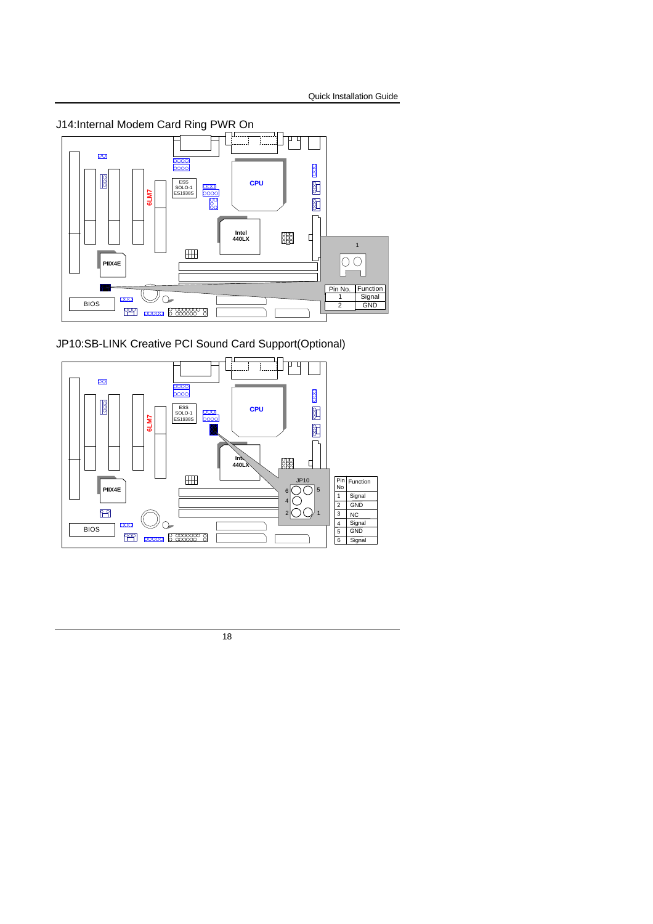

JP10:SB-LINK Creative PCI Sound Card Support(Optional)

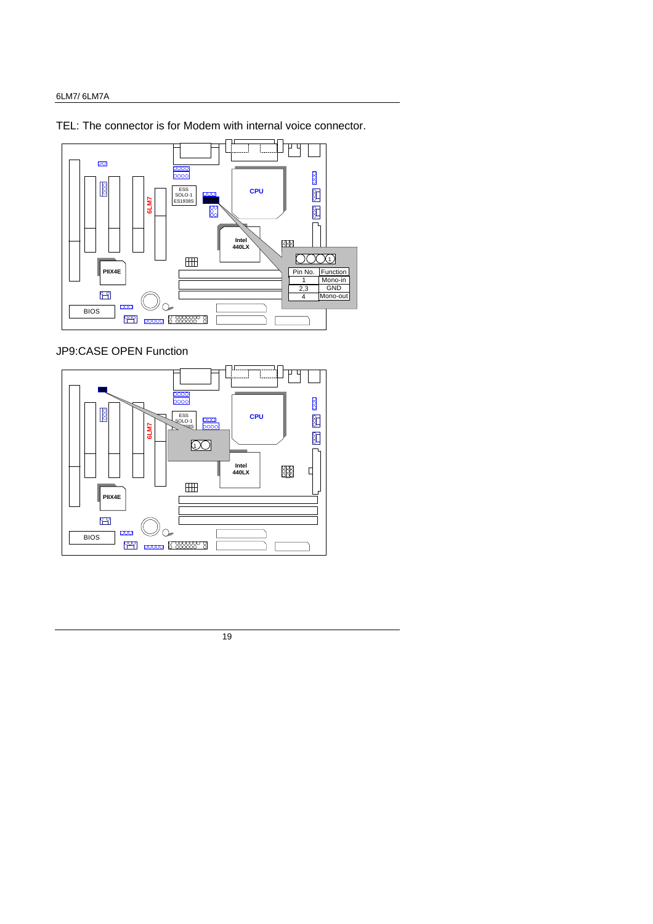TEL: The connector is for Modem with internal voice connector.



JP9:CASE OPEN Function

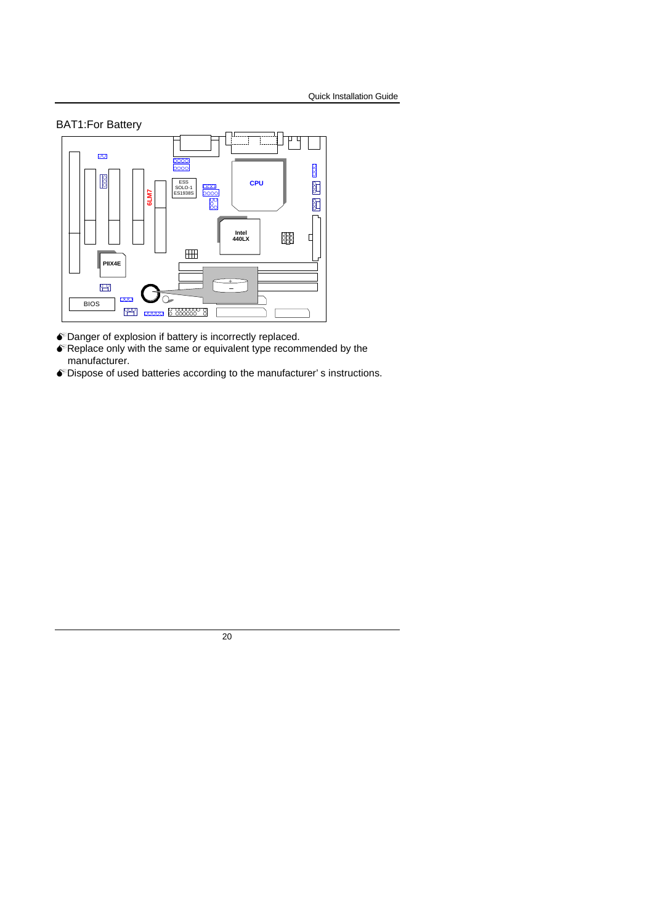

- $\bullet$  Danger of explosion if battery is incorrectly replaced.
- $\bullet$  Replace only with the same or equivalent type recommended by the manufacturer.
- $\bullet$  Dispose of used batteries according to the manufacturer's instructions.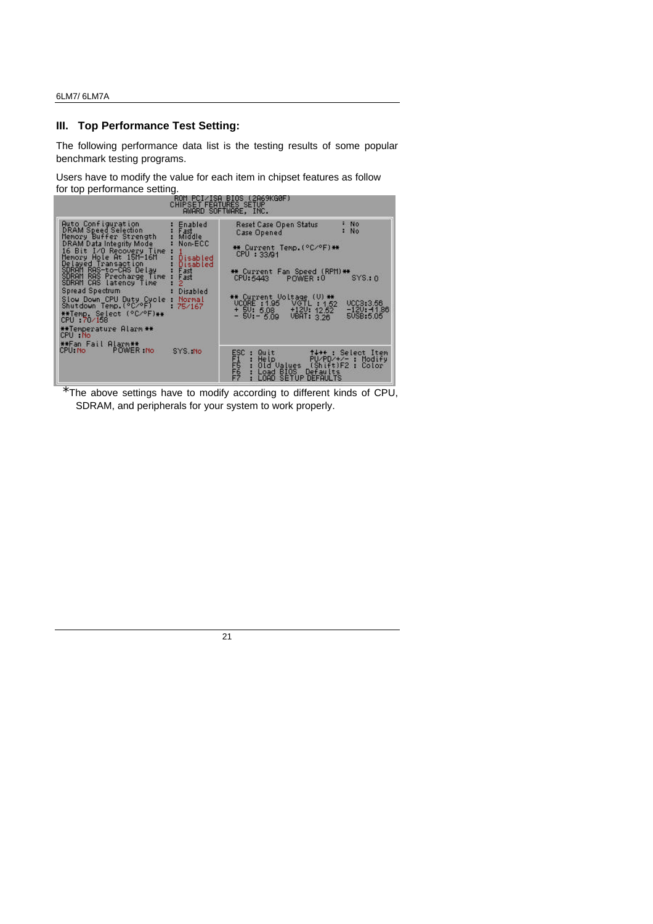#### **III. Top Performance Test Setting:**

The following performance data list is the testing results of some popular benchmark testing programs.

Users have to modify the value for each item in chipset features as follow for top performance setting.

| CHIPSET FEATURES SETUP                                                                                                                                                                                                                                                                                                                                                                                                                                                                                                                                                   | ROM PCI/ISA BIOS (2A69KG0F)<br>AWARD SOFTWARE, INC.                                                                                                                                                                                                                                                                                             |
|--------------------------------------------------------------------------------------------------------------------------------------------------------------------------------------------------------------------------------------------------------------------------------------------------------------------------------------------------------------------------------------------------------------------------------------------------------------------------------------------------------------------------------------------------------------------------|-------------------------------------------------------------------------------------------------------------------------------------------------------------------------------------------------------------------------------------------------------------------------------------------------------------------------------------------------|
| Auto Configuration<br>Enabled<br><b>DRAM Speed Selection</b><br>Fast<br>Middle<br>Memory Buffer Strength<br>Non-ECC<br>DRAM Data Integrity Mode<br>16 Bit I/O Recovery Time<br>Memory Hole At 15M-16M<br>Disabled<br>Delayed Transaction<br>Disabled<br>SDRAM RAS-to-CAS Delay<br>Fast<br>SDRAM RAS Precharge Time<br>Fast<br>SDRAM CAS latency Time<br>2<br>Spread Spectrum<br>Disabled<br>Slow Down CPU Duty Cycle<br>Normal<br>Shutdown Temp. (°C/°F)<br>75/167<br>**Temp. Select (°C/°F)**<br>CPU : 70/158<br>**Temperature Alarm **<br>CPU No<br>**Fan Fail Alarm** | : No<br>Reset Case Open Status<br><b>No</b><br>Case Opened<br>** Current Temp. (°C/°F)**<br>CPU: 33/91<br>** Current Fan Speed (RPM)**<br>SYS.:0<br>CPU: 5443<br>POWER:0<br>** Current Voltage (V) **<br>UCC3:3.56<br>UCORE: 1.95 VGTL: 1.52<br>$+120: 12.52$<br>$+50:5.08$<br>$-120: -11.86$<br>$-50:-5.09$<br><b>VBAT: 3.26</b><br>5USB: 5.05 |
| POWER No<br>CPU: No<br>SYS. No.                                                                                                                                                                                                                                                                                                                                                                                                                                                                                                                                          | ESC<br>FR<br>FP<br>FP<br>↑↓◆← : Select Item<br>Quit<br>: HeIp<br>$PU/PD/+/-$ : Modify<br>(Shift)F2:<br>Old Values<br>Color<br>Load BIOS<br>Defaults<br>LOAD SETUP DEFAULTS                                                                                                                                                                      |

\*The above settings have to modify according to different kinds of CPU, SDRAM, and peripherals for your system to work properly.